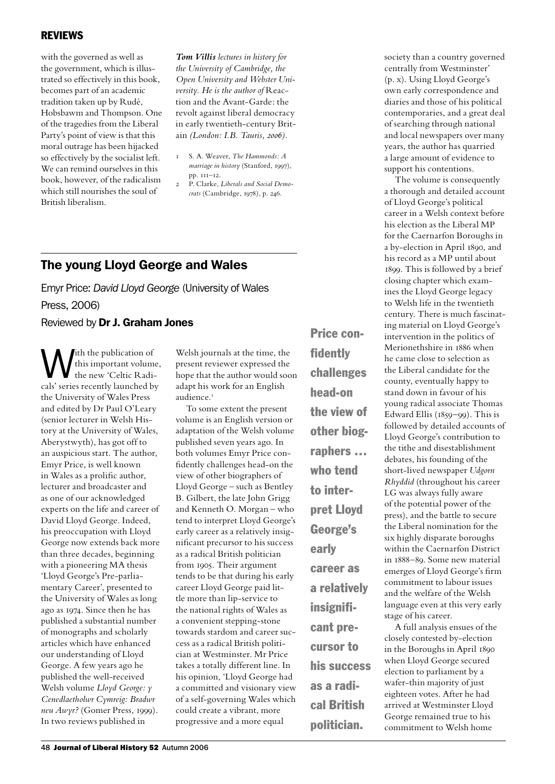#### **REVIEWS**

with the governed as well as the government, which is illustrated so effectively in this book, becomes part of an academic tradition taken up by Rudé, Hobsbawm and Thompson. One of the tragedies from the Liberal Party's point of view is that this moral outrage has been hijacked so effectively by the socialist left. We can remind ourselves in this book, however, of the radicalism which still nourishes the soul of British liberalism.

*Tom Villis lectures in history for the University of Cambridge, the Open University and Webster University. He is the author of* Reaction and the Avant-Garde: the revolt against liberal democracy in early twentieth-century Britain *(London: I.B. Tauris, 2006).*

- 1 S. A. Weaver, *The Hammonds: A marriage in history* (Stanford, 1997), pp. 111–12.
- 2 P. Clarke, *Liberals and Social Democrats* (Cambridge, 1978), p. 246.

# The young Lloyd George and Wales

Emyr Price: *David Lloyd George* (University of Wales Press, 2006) Reviewed by Dr J. Graham Jones

With the publication of<br>this important volume<br>the new 'Celtic Radianabi' squire graduly humaked by this important volume, the new 'Celtic Radicals' series recently launched by the University of Wales Press and edited by Dr Paul O'Leary (senior lecturer in Welsh History at the University of Wales, Aberystwyth), has got off to an auspicious start. The author, Emyr Price, is well known in Wales as a prolific author, lecturer and broadcaster and as one of our acknowledged experts on the life and career of David Lloyd George. Indeed, his preoccupation with Lloyd George now extends back more than three decades, beginning with a pioneering MA thesis 'Lloyd George's Pre-parliamentary Career', presented to the University of Wales as long ago as 1974. Since then he has published a substantial number of monographs and scholarly articles which have enhanced our understanding of Lloyd George. A few years ago he published the well-received Welsh volume *Lloyd George: y Cenedlaetholwr Cymreig: Bradwr neu Awyr?* (Gomer Press, 1999). In two reviews published in

Welsh journals at the time, the present reviewer expressed the hope that the author would soon adapt his work for an English audience.<sup>1</sup>

To some extent the present volume is an English version or adaptation of the Welsh volume published seven years ago. In both volumes Emyr Price confidently challenges head-on the view of other biographers of Lloyd George – such as Bentley B. Gilbert, the late John Grigg and Kenneth O. Morgan – who tend to interpret Lloyd George's early career as a relatively insignificant precursor to his success as a radical British politician from 1905. Their argument tends to be that during his early career Lloyd George paid little more than lip-service to the national rights of Wales as a convenient stepping-stone towards stardom and career success as a radical British politician at Westminster. Mr Price takes a totally different line. In his opinion, 'Lloyd George had a committed and visionary view of a self-governing Wales which could create a vibrant, more progressive and a more equal

Price confidently challenges head-on the view of other biographers … who tend to interpret Lloyd George's early career as a relatively insignificant precursor to his success as a radical British politician.

society than a country governed centrally from Westminster' (p. x). Using Lloyd George's own early correspondence and diaries and those of his political contemporaries, and a great deal of searching through national and local newspapers over many years, the author has quarried a large amount of evidence to support his contentions.

The volume is consequently a thorough and detailed account of Lloyd George's political career in a Welsh context before his election as the Liberal MP for the Caernarfon Boroughs in a by-election in April 1890, and his record as a MP until about 1899. This is followed by a brief closing chapter which examines the Lloyd George legacy to Welsh life in the twentieth century. There is much fascinating material on Lloyd George's intervention in the politics of Merionethshire in 1886 when he came close to selection as the Liberal candidate for the county, eventually happy to stand down in favour of his young radical associate Thomas Edward Ellis (1859–99). This is followed by detailed accounts of Lloyd George's contribution to the tithe and disestablishment debates, his founding of the short-lived newspaper *Udgorn Rhyddid* (throughout his career LG was always fully aware of the potential power of the press), and the battle to secure the Liberal nomination for the six highly disparate boroughs within the Caernarfon District in 1888–89. Some new material emerges of Lloyd George's firm commitment to labour issues and the welfare of the Welsh language even at this very early stage of his career.

A full analysis ensues of the closely contested by-election in the Boroughs in April 1890 when Lloyd George secured election to parliament by a wafer-thin majority of just eighteen votes. After he had arrived at Westminster Lloyd George remained true to his commitment to Welsh home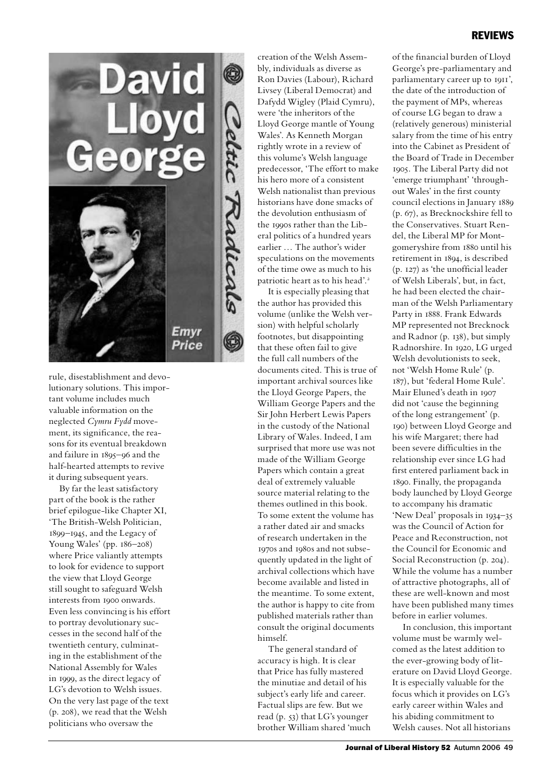

rule, disestablishment and devolutionary solutions. This important volume includes much valuable information on the neglected *Cymru Fydd* movement, its significance, the reasons for its eventual breakdown and failure in 1895–96 and the half-hearted attempts to revive it during subsequent years.

By far the least satisfactory part of the book is the rather brief epilogue-like Chapter XI, 'The British-Welsh Politician, 1899–1945, and the Legacy of Young Wales' (pp. 186–208) where Price valiantly attempts to look for evidence to support the view that Lloyd George still sought to safeguard Welsh interests from 1900 onwards. Even less convincing is his effort to portray devolutionary successes in the second half of the twentieth century, culminating in the establishment of the National Assembly for Wales in 1999, as the direct legacy of LG's devotion to Welsh issues. On the very last page of the text (p. 208), we read that the Welsh politicians who oversaw the

creation of the Welsh Assembly, individuals as diverse as Ron Davies (Labour), Richard Livsey (Liberal Democrat) and Dafydd Wigley (Plaid Cymru), were 'the inheritors of the Lloyd George mantle of Young Wales'. As Kenneth Morgan rightly wrote in a review of this volume's Welsh language predecessor, 'The effort to make his hero more of a consistent Welsh nationalist than previous historians have done smacks of the devolution enthusiasm of the 1990s rather than the Liberal politics of a hundred years earlier … The author's wider speculations on the movements of the time owe as much to his patriotic heart as to his head'.<sup>2</sup>

It is especially pleasing that the author has provided this volume (unlike the Welsh version) with helpful scholarly footnotes, but disappointing that these often fail to give the full call numbers of the documents cited. This is true of important archival sources like the Lloyd George Papers, the William George Papers and the Sir John Herbert Lewis Papers in the custody of the National Library of Wales. Indeed, I am surprised that more use was not made of the William George Papers which contain a great deal of extremely valuable source material relating to the themes outlined in this book. To some extent the volume has a rather dated air and smacks of research undertaken in the 1970s and 1980s and not subsequently updated in the light of archival collections which have become available and listed in the meantime. To some extent, the author is happy to cite from published materials rather than consult the original documents himself.

The general standard of accuracy is high. It is clear that Price has fully mastered the minutiae and detail of his subject's early life and career. Factual slips are few. But we read (p. 53) that LG's younger brother William shared 'much of the financial burden of Lloyd George's pre-parliamentary and parliamentary career up to 1911', the date of the introduction of the payment of MPs, whereas of course LG began to draw a (relatively generous) ministerial salary from the time of his entry into the Cabinet as President of the Board of Trade in December 1905. The Liberal Party did not 'emerge triumphant' 'throughout Wales' in the first county council elections in January 1889 (p. 67), as Brecknockshire fell to the Conservatives. Stuart Rendel, the Liberal MP for Montgomeryshire from 1880 until his retirement in 1894, is described (p. 127) as 'the unofficial leader of Welsh Liberals', but, in fact, he had been elected the chairman of the Welsh Parliamentary Party in 1888. Frank Edwards MP represented not Brecknock and Radnor (p. 138), but simply Radnorshire. In 1920, LG urged Welsh devolutionists to seek, not 'Welsh Home Rule' (p. 187), but 'federal Home Rule'. Mair Eluned's death in 1907 did not 'cause the beginning of the long estrangement' (p. 190) between Lloyd George and his wife Margaret; there had been severe difficulties in the relationship ever since LG had first entered parliament back in 1890. Finally, the propaganda body launched by Lloyd George to accompany his dramatic 'New Deal' proposals in 1934–35 was the Council of Action for Peace and Reconstruction, not the Council for Economic and Social Reconstruction (p. 204). While the volume has a number of attractive photographs, all of these are well-known and most have been published many times before in earlier volumes.

In conclusion, this important volume must be warmly welcomed as the latest addition to the ever-growing body of literature on David Lloyd George. It is especially valuable for the focus which it provides on LG's early career within Wales and his abiding commitment to Welsh causes. Not all historians